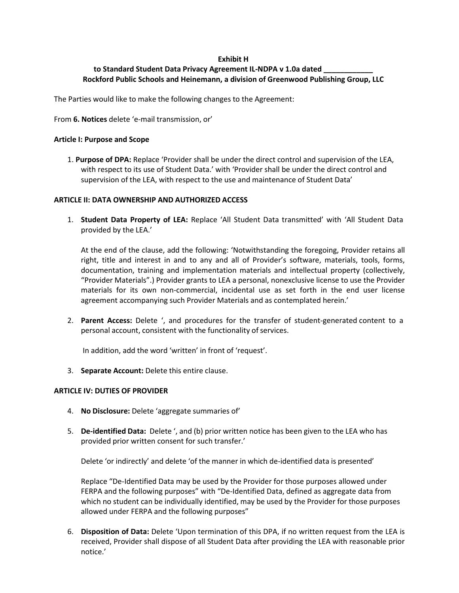### **Exhibit H**

# to Standard Student Data Privacy Agreement IL-NDPA v 1.0a dated **Rockford Public Schools and Heinemann, a division of Greenwood Publishing Group, LLC**

The Parties would like to make the following changes to the Agreement:

From **6. Notices** delete 'e-mail transmission, or'

#### **Article I: Purpose and Scope**

1. **Purpose of DPA:** Replace 'Provider shall be under the direct control and supervision of the LEA, with respect to its use of Student Data.' with 'Provider shall be under the direct control and supervision of the LEA, with respect to the use and maintenance of Student Data'

### **ARTICLE II: DATA OWNERSHIP AND AUTHORIZED ACCESS**

1. **Student Data Property of LEA:** Replace 'All Student Data transmitted' with 'All Student Data provided by the LEA.'

At the end of the clause, add the following: 'Notwithstanding the foregoing, Provider retains all right, title and interest in and to any and all of Provider's software, materials, tools, forms, documentation, training and implementation materials and intellectual property (collectively, "Provider Materials".) Provider grants to LEA a personal, nonexclusive license to use the Provider materials for its own non-commercial, incidental use as set forth in the end user license agreement accompanying such Provider Materials and as contemplated herein.'

2. **Parent Access:** Delete ', and procedures for the transfer of student-generated content to a personal account, consistent with the functionality of services.

In addition, add the word 'written' in front of 'request'.

3. **Separate Account:** Delete this entire clause.

### **ARTICLE IV: DUTIES OF PROVIDER**

- 4. **No Disclosure:** Delete 'aggregate summaries of'
- 5. **De-identified Data:** Delete ', and (b) prior written notice has been given to the LEA who has provided prior written consent for such transfer.'

Delete 'or indirectly' and delete 'of the manner in which de-identified data is presented'

Replace "De-Identified Data may be used by the Provider for those purposes allowed under FERPA and the following purposes" with "De-Identified Data, defined as aggregate data from which no student can be individually identified, may be used by the Provider for those purposes allowed under FERPA and the following purposes"

6. **Disposition of Data:** Delete 'Upon termination of this DPA, if no written request from the LEA is received, Provider shall dispose of all Student Data after providing the LEA with reasonable prior notice.'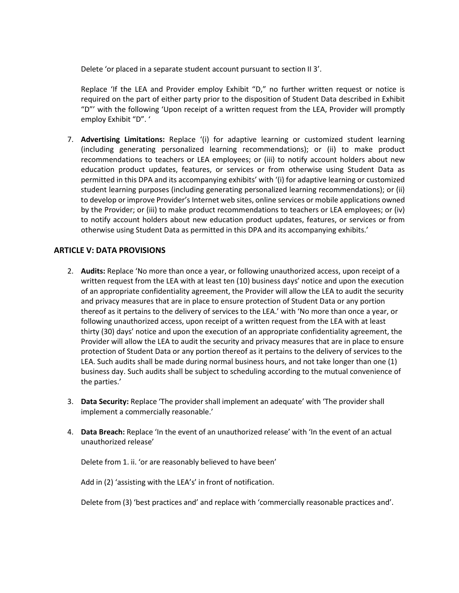Delete 'or placed in a separate student account pursuant to section II 3'.

Replace 'If the LEA and Provider employ Exhibit "D," no further written request or notice is required on the part of either party prior to the disposition of Student Data described in Exhibit "D"' with the following 'Upon receipt of a written request from the LEA, Provider will promptly employ Exhibit "D". '

7. **Advertising Limitations:** Replace '(i) for adaptive learning or customized student learning (including generating personalized learning recommendations); or (ii) to make product recommendations to teachers or LEA employees; or (iii) to notify account holders about new education product updates, features, or services or from otherwise using Student Data as permitted in this DPA and its accompanying exhibits' with '(i) for adaptive learning or customized student learning purposes (including generating personalized learning recommendations); or (ii) to develop or improve Provider's Internet web sites, online services or mobile applications owned by the Provider; or (iii) to make product recommendations to teachers or LEA employees; or (iv) to notify account holders about new education product updates, features, or services or from otherwise using Student Data as permitted in this DPA and its accompanying exhibits.'

# **ARTICLE V: DATA PROVISIONS**

- 2. **Audits:** Replace 'No more than once a year, or following unauthorized access, upon receipt of a written request from the LEA with at least ten (10) business days' notice and upon the execution of an appropriate confidentiality agreement, the Provider will allow the LEA to audit the security and privacy measures that are in place to ensure protection of Student Data or any portion thereof as it pertains to the delivery of services to the LEA.' with 'No more than once a year, or following unauthorized access, upon receipt of a written request from the LEA with at least thirty (30) days' notice and upon the execution of an appropriate confidentiality agreement, the Provider will allow the LEA to audit the security and privacy measures that are in place to ensure protection of Student Data or any portion thereof as it pertains to the delivery of services to the LEA. Such audits shall be made during normal business hours, and not take longer than one (1) business day. Such audits shall be subject to scheduling according to the mutual convenience of the parties.'
- 3. **Data Security:** Replace 'The provider shall implement an adequate' with 'The provider shall implement a commercially reasonable.'
- 4. **Data Breach:** Replace 'In the event of an unauthorized release' with 'In the event of an actual unauthorized release'

Delete from 1. ii. 'or are reasonably believed to have been'

Add in (2) 'assisting with the LEA's' in front of notification.

Delete from (3) 'best practices and' and replace with 'commercially reasonable practices and'.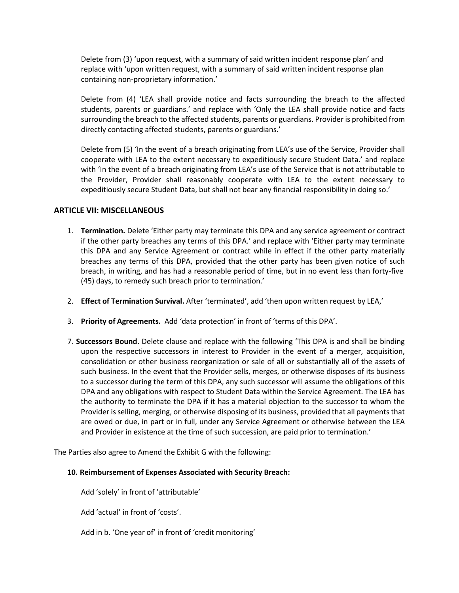Delete from (3) 'upon request, with a summary of said written incident response plan' and replace with 'upon written request, with a summary of said written incident response plan containing non-proprietary information.'

Delete from (4) 'LEA shall provide notice and facts surrounding the breach to the affected students, parents or guardians.' and replace with 'Only the LEA shall provide notice and facts surrounding the breach to the affected students, parents or guardians. Provider is prohibited from directly contacting affected students, parents or guardians.'

Delete from (5) 'In the event of a breach originating from LEA's use of the Service, Provider shall cooperate with LEA to the extent necessary to expeditiously secure Student Data.' and replace with 'In the event of a breach originating from LEA's use of the Service that is not attributable to the Provider, Provider shall reasonably cooperate with LEA to the extent necessary to expeditiously secure Student Data, but shall not bear any financial responsibility in doing so.'

### **ARTICLE VII: MISCELLANEOUS**

- 1. **Termination.** Delete 'Either party may terminate this DPA and any service agreement or contract if the other party breaches any terms of this DPA.' and replace with 'Either party may terminate this DPA and any Service Agreement or contract while in effect if the other party materially breaches any terms of this DPA, provided that the other party has been given notice of such breach, in writing, and has had a reasonable period of time, but in no event less than forty-five (45) days, to remedy such breach prior to termination.'
- 2. **Effect of Termination Survival.** After 'terminated', add 'then upon written request by LEA,'
- 3. **Priority of Agreements.** Add 'data protection' in front of 'terms of this DPA'.
- 7. **Successors Bound.** Delete clause and replace with the following 'This DPA is and shall be binding upon the respective successors in interest to Provider in the event of a merger, acquisition, consolidation or other business reorganization or sale of all or substantially all of the assets of such business. In the event that the Provider sells, merges, or otherwise disposes of its business to a successor during the term of this DPA, any such successor will assume the obligations of this DPA and any obligations with respect to Student Data within the Service Agreement. The LEA has the authority to terminate the DPA if it has a material objection to the successor to whom the Provider is selling, merging, or otherwise disposing of its business, provided that all payments that are owed or due, in part or in full, under any Service Agreement or otherwise between the LEA and Provider in existence at the time of such succession, are paid prior to termination.'

The Parties also agree to Amend the Exhibit G with the following:

#### **10. Reimbursement of Expenses Associated with Security Breach:**

Add 'solely' in front of 'attributable'

Add 'actual' in front of 'costs'.

Add in b. 'One year of' in front of 'credit monitoring'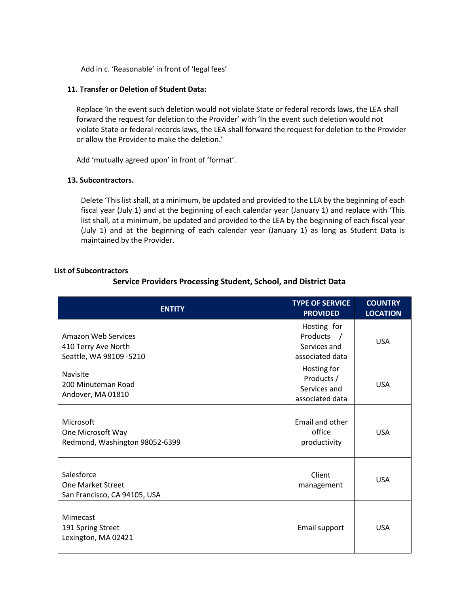Add in c. 'Reasonable' in front of 'legal fees'

### **11. Transfer or Deletion of Student Data:**

Replace 'In the event such deletion would not violate State or federal records laws, the LEA shall forward the request for deletion to the Provider' with 'In the event such deletion would not violate State or federal records laws, the LEA shall forward the request for deletion to the Provider or allow the Provider to make the deletion.'

Add 'mutually agreed upon' in front of 'format'.

### **13. Subcontractors.**

Delete 'This list shall, at a minimum, be updated and provided to the LEA by the beginning of each fiscal year (July 1) and at the beginning of each calendar year (January 1) and replace with 'This list shall, at a minimum, be updated and provided to the LEA by the beginning of each fiscal year (July 1) and at the beginning of each calendar year (January 1) as long as Student Data is maintained by the Provider.

### **List of Subcontractors**

# **Service Providers Processing Student, School, and District Data**

| <b>ENTITY</b>                                                          | <b>TYPE OF SERVICE</b><br><b>PROVIDED</b>                                | <b>COUNTRY</b><br><b>LOCATION</b> |
|------------------------------------------------------------------------|--------------------------------------------------------------------------|-----------------------------------|
| Amazon Web Services<br>410 Terry Ave North<br>Seattle, WA 98109 -5210  | Hosting for<br>Products<br>$\sqrt{ }$<br>Services and<br>associated data | <b>USA</b>                        |
| <b>Navisite</b><br>200 Minuteman Road<br>Andover, MA 01810             | Hosting for<br>Products /<br>Services and<br>associated data             | <b>USA</b>                        |
| Microsoft<br>One Microsoft Way<br>Redmond, Washington 98052-6399       | Email and other<br>office<br>productivity                                | <b>USA</b>                        |
| Salesforce<br><b>One Market Street</b><br>San Francisco, CA 94105, USA | Client<br>management                                                     | <b>USA</b>                        |
| Mimecast<br>191 Spring Street<br>Lexington, MA 02421                   | Email support                                                            | <b>USA</b>                        |